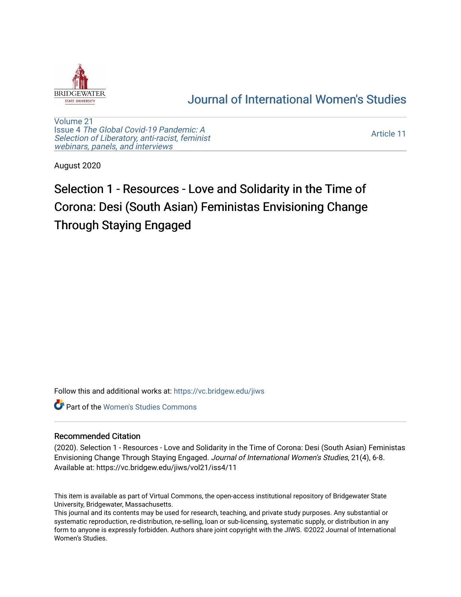

# [Journal of International Women's Studies](https://vc.bridgew.edu/jiws)

[Volume 21](https://vc.bridgew.edu/jiws/vol21) Issue 4 [The Global Covid-19 Pandemic: A](https://vc.bridgew.edu/jiws/vol21/iss4) [Selection of Liberatory, anti-racist, feminist](https://vc.bridgew.edu/jiws/vol21/iss4) [webinars, panels, and interviews](https://vc.bridgew.edu/jiws/vol21/iss4)

[Article 11](https://vc.bridgew.edu/jiws/vol21/iss4/11) 

August 2020

# Selection 1 - Resources - Love and Solidarity in the Time of Corona: Desi (South Asian) Feministas Envisioning Change Through Staying Engaged

Follow this and additional works at: [https://vc.bridgew.edu/jiws](https://vc.bridgew.edu/jiws?utm_source=vc.bridgew.edu%2Fjiws%2Fvol21%2Fiss4%2F11&utm_medium=PDF&utm_campaign=PDFCoverPages)

**C** Part of the Women's Studies Commons

#### Recommended Citation

(2020). Selection 1 - Resources - Love and Solidarity in the Time of Corona: Desi (South Asian) Feministas Envisioning Change Through Staying Engaged. Journal of International Women's Studies, 21(4), 6-8. Available at: https://vc.bridgew.edu/jiws/vol21/iss4/11

This item is available as part of Virtual Commons, the open-access institutional repository of Bridgewater State University, Bridgewater, Massachusetts.

This journal and its contents may be used for research, teaching, and private study purposes. Any substantial or systematic reproduction, re-distribution, re-selling, loan or sub-licensing, systematic supply, or distribution in any form to anyone is expressly forbidden. Authors share joint copyright with the JIWS. ©2022 Journal of International Women's Studies.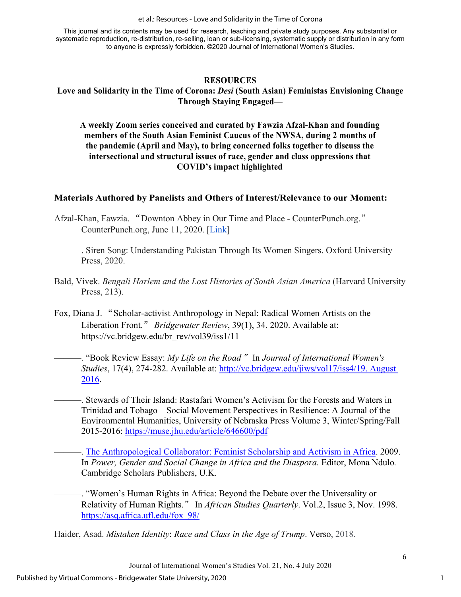et al.: Resources - Love and Solidarity in the Time of Corona

This journal and its contents may be used for research, teaching and private study purposes. Any substantial or systematic reproduction, re-distribution, re-selling, loan or sub-licensing, systematic supply or distribution in any form to anyone is expressly forbidden. ©2020 Journal of International Women's Studies.

#### **RESOURCES Love and Solidarity in the Time of Corona:** *Desi* **(South Asian) Feministas Envisioning Change Through Staying Engaged—**

**A weekly Zoom series conceived and curated by Fawzia Afzal-Khan and founding members of the South Asian Feminist Caucus of the NWSA, during 2 months of the pandemic (April and May), to bring concerned folks together to discuss the intersectional and structural issues of race, gender and class oppressions that COVID's impact highlighted** 

## **Materials Authored by Panelists and Others of Interest/Relevance to our Moment:**

- Afzal-Khan, Fawzia. "Downton Abbey in Our Time and Place CounterPunch.org." CounterPunch.org, June 11, 2020. [\[Link\]](https://www.counterpunch.org/2020/06/11/downton-abbeys-lesson-for-today/)
- ———. Siren Song: Understanding Pakistan Through Its Women Singers. Oxford University Press, 2020.
- Bald, Vivek. *Bengali Harlem and the Lost Histories of South Asian America* (Harvard University Press, 213).
- Fox, Diana J. "Scholar-activist Anthropology in Nepal: Radical Women Artists on the Liberation Front." *Bridgewater Review*, 39(1), 34. 2020. Available at: https://vc.bridgew.edu/br\_rev/vol39/iss1/11
	- ———. "Book Review Essay: *My Life on the Road*" In *Journal of International Women's Studies*, 17(4), 274-282. Available at: [http://vc.bridgew.edu/jiws/vol17/iss4/19. August](http://vc.bridgew.edu/jiws/vol17/iss4/19.%20August%202016)  [2016.](http://vc.bridgew.edu/jiws/vol17/iss4/19.%20August%202016)
	- ———. Stewards of Their Island: Rastafari Women's Activism for the Forests and Waters in Trinidad and Tobago—Social Movement Perspectives in [Resilience: A Journal of the](https://muse.jhu.edu/journal/673)  [Environmental Humanities,](https://muse.jhu.edu/journal/673) [University of Nebraska Press](https://muse.jhu.edu/search?action=browse&limit=publisher_id:17) [Volume 3, Winter/Spring/Fall](https://muse.jhu.edu/issue/35727)  [2015-2016:](https://muse.jhu.edu/issue/35727)<https://muse.jhu.edu/article/646600/pdf>
		- -. [The Anthropological Collaborator: Feminist Scholarship and Activism in Africa.](https://books.google.com/books?id=sKYYBwAAQBAJ&pg=PA112&lpg=PA112&dq=Diana+J+Fox+Anthropological+Collaborator+Feminist+Research+in+AFrica&source=bl&ots=klwDPq8Y8o&sig=ACfU3U1rDCiOaeA_IpByKXzYQRhqZD-VJA&hl=en&sa=X&ved=2ahUKEwjLnaSyttnqAhVflnIEHW-_DloQ6AEwGnoECAoQAQ#v=onepage&q=Diana%20J%20Fox%20Anthropological%20Collaborator%20Feminist%20Research%20in%20AFrica&f=false) 2009. In Power, Gender and Social Change in Africa and the Diaspora. Editor, Mona Ndulo. Cambridge Scholars Publishers, U.K.
	- ———. "Women's Human Rights in Africa: Beyond the Debate over the Universality or Relativity of Human Rights." In *African Studies Quarterly*. Vol.2, Issue 3, Nov. 1998. [https://asq.africa.ufl.edu/fox\\_98/](https://asq.africa.ufl.edu/fox_98/)

Haider, Asad. *Mistaken Identity*: *Race and Class in the Age of Trump*. Verso, 2018.

1

6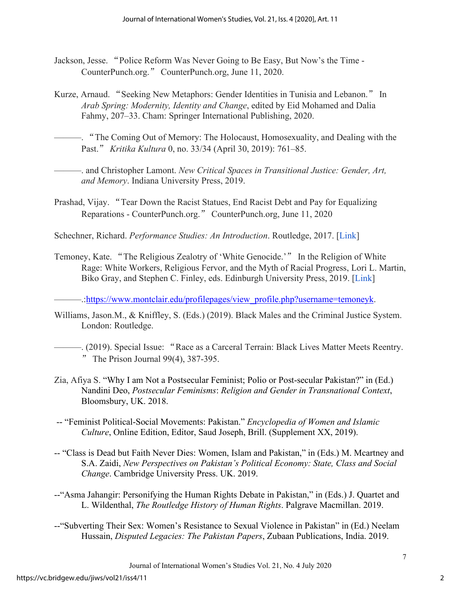- Jackson, Jesse. "Police Reform Was Never Going to Be Easy, But Now's the Time CounterPunch.org." CounterPunch.org, June 11, 2020.
- Kurze, Arnaud. "Seeking New Metaphors: Gender Identities in Tunisia and Lebanon." In *Arab Spring: Modernity, Identity and Change*, edited by Eid Mohamed and Dalia Fahmy, 207–33. Cham: Springer International Publishing, 2020.
- ———. "The Coming Out of Memory: The Holocaust, Homosexuality, and Dealing with the Past." *Kritika Kultura* 0, no. 33/34 (April 30, 2019): 761–85.
- ———. and Christopher Lamont. *New Critical Spaces in Transitional Justice: Gender, Art, and Memory*. Indiana University Press, 2019.
- Prashad, Vijay. "Tear Down the Racist Statues, End Racist Debt and Pay for Equalizing Reparations - CounterPunch.org." CounterPunch.org, June 11, 2020

Schechner, Richard. *Performance Studies: An Introduction*. Routledge, 2017. [\[Link\]](https://books.google.com/books?hl=en&lr&id=sZSm5FpCX5UC&oi=fnd&pg=PP2&dq=robert%2Bschechner%2Bperformance%2Bstudies&ots=AT1LEJdK2x&sig=BJIKyujXgSC53MKQ8o4GzGWVEjU%23v%3Donepage&q=robert%20schechner%20performance%20studies&f=false)

Temoney, Kate. "The Religious Zealotry of 'White Genocide.'" In the Religion of White Rage: White Workers, Religious Fervor, and the Myth of Racial Progress, Lori L. Martin, Biko Gray, and Stephen C. Finley, eds. Edinburgh University Press, 2019. [\[Link\]](https://edinburghuniversitypress.com/book-the-religion-of-white-rage-hb.html)

...https://www.montclair.edu/profilepages/view\_profile.php?username=temoneyk.

- Williams, Jason.M., & Kniffley, S. (Eds.) (2019). Black Males and the Criminal Justice System. London: Routledge.
	- ———. (2019). Special Issue: "Race as a Carceral Terrain: Black Lives Matter Meets Reentry. " The Prison Journal  $99(4)$ ,  $387-395$ .
- Zia, Afiya S. "Why I am Not a Postsecular Feminist; Polio or Post-secular Pakistan?" in (Ed.) Nandini Deo, *Postsecular Feminisms*: *Religion and Gender in Transnational Context*, Bloomsbury, UK. 2018.
- -- "Feminist Political-Social Movements: Pakistan." *Encyclopedia of Women and Islamic Culture*, Online Edition, Editor, Saud Joseph, Brill. (Supplement XX, 2019).
- -- "Class is Dead but Faith Never Dies: Women, Islam and Pakistan," in (Eds.) M. Mcartney and S.A. Zaidi, *New Perspectives on Pakistan's Political Economy: State, Class and Social Change*. Cambridge University Press. UK. 2019.
- --"Asma Jahangir: Personifying the Human Rights Debate in Pakistan," in (Eds.) J. Quartet and L. Wildenthal, *The Routledge History of Human Rights*. Palgrave Macmillan. 2019.
- --"Subverting Their Sex: Women's Resistance to Sexual Violence in Pakistan" in (Ed.) Neelam Hussain, *Disputed Legacies: The Pakistan Papers*, Zubaan Publications, India. 2019.

7